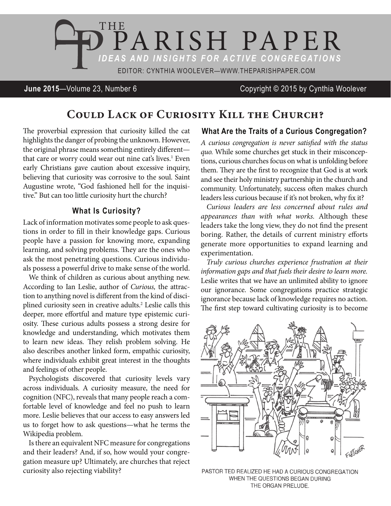

# **June 2015**—Volume 23, Number 6 Copyright © 2015 by Cynthia Woolever

# **Could Lack of Curiosity Kill the Church?**

The proverbial expression that curiosity killed the cat highlights the danger of probing the unknown. However, the original phrase means something entirely different that care or worry could wear out nine cat's lives.<sup>1</sup> Even early Christians gave caution about excessive inquiry, believing that curiosity was corrosive to the soul. Saint Augustine wrote, "God fashioned hell for the inquisitive." But can too little curiosity hurt the church?

### **What Is Curiosity?**

Lack of information motivates some people to ask questions in order to fill in their knowledge gaps. Curious people have a passion for knowing more, expanding learning, and solving problems. They are the ones who ask the most penetrating questions. Curious individuals possess a powerful drive to make sense of the world.

We think of children as curious about anything new. According to Ian Leslie, author of *Curious,* the attraction to anything novel is different from the kind of disciplined curiosity seen in creative adults.<sup>2</sup> Leslie calls this deeper, more effortful and mature type epistemic curiosity. These curious adults possess a strong desire for knowledge and understanding, which motivates them to learn new ideas. They relish problem solving. He also describes another linked form, empathic curiosity, where individuals exhibit great interest in the thoughts and feelings of other people.

Psychologists discovered that curiosity levels vary across individuals. A curiosity measure, the need for cognition (NFC), reveals that many people reach a comfortable level of knowledge and feel no push to learn more. Leslie believes that our access to easy answers led us to forget how to ask questions—what he terms the Wikipedia problem.

Is there an equivalent NFC measure for congregations and their leaders? And, if so, how would your congregation measure up? Ultimately, are churches that reject curiosity also rejecting viability?

### **What Are the Traits of a Curious Congregation?**

*A curious congregation is never satisfied with the status quo.* While some churches get stuck in their misconceptions, curious churches focus on what is unfolding before them. They are the first to recognize that God is at work and see their holy ministry partnership in the church and community. Unfortunately, success often makes church leaders less curious because if it's not broken, why fix it?

*Curious leaders are less concerned about rules and appearances than with what works.* Although these leaders take the long view, they do not find the present boring. Rather, the details of current ministry efforts generate more opportunities to expand learning and experimentation.

*Truly curious churches experience frustration at their information gaps and that fuels their desire to learn more.*  Leslie writes that we have an unlimited ability to ignore our ignorance. Some congregations practice strategic ignorance because lack of knowledge requires no action. The first step toward cultivating curiosity is to become



PASTOR TED REALIZED HE HAD A CURIOUS CONGREGATION WHEN THE QUESTIONS BEGAN DURING THE ORGAN PRELUDE.